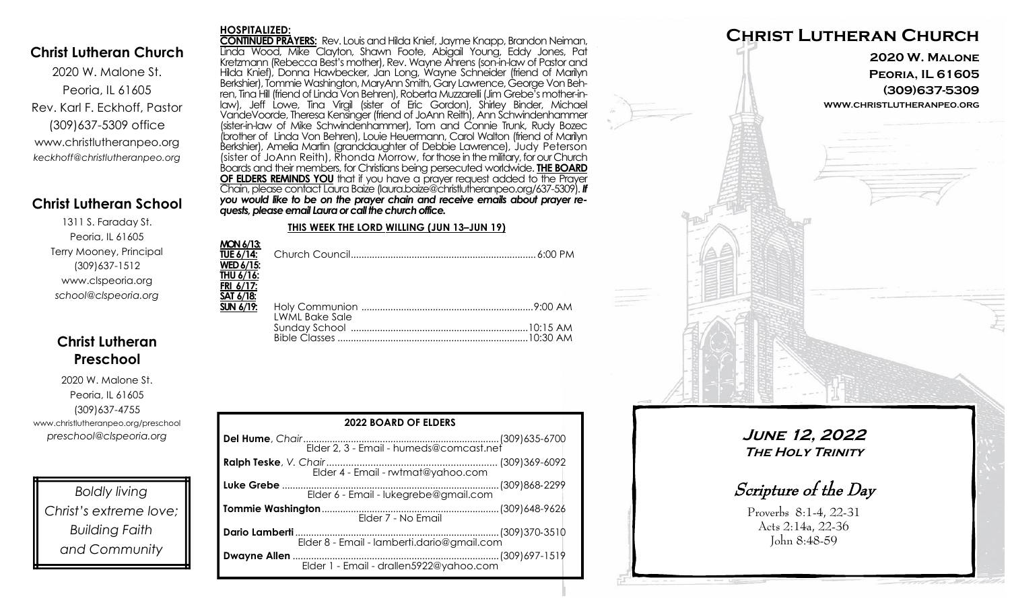### **Christ Lutheran Church**

2020 W. Malone St. Peoria, IL 61605 Rev. Karl F. Eckhoff, Pastor (309)637-5309 office www.christlutheranpeo.org *keckhoff@christlutheranpeo.org*

### **Christ Lutheran School**

1311 S. Faraday St. Peoria, IL 61605 Terry Mooney, Principal (309)637-1512 www.clspeoria.org *school@clspeoria.org*

## **Christ Lutheran Preschool**

2020 W. Malone St. Peoria, IL 61605 (309)637-4755 www.christlutheranpeo.org/preschool *preschool@clspeoria.org*

*Boldly living Christ's extreme love; Building Faith and Community*

#### **HOSPITALIZED:**

**CONTINUED PRAYERS:** Rev. Louis and Hilda Knief, Jayme Knapp, Brandon Neiman, Linda Wood, Mike Clayton, Shawn Foote, Abigail Young, Eddy Jones, Pat Kretzmann (Rebecca Best's mother), Rev. Wayne Ahrens (son-in-law of Pastor and Hilda Knief), Donna Hawbecker, Jan Long, Wayne Schneider (friend of Marilyn Berkshier), Tommie Washington, MaryAnn Smith, Gary Lawrence, George Von Behren, Tina Hill (friend of Linda Von Behren), Roberta Muzzarelli (Jim Grebe's mother-inlaw), Jeff Lowe, Tina Virgil (sister of Eric Gordon), Shirley Binder, Michael VandeVoorde, Theresa Kensinger (friend of JoAnn Reith), Ann Schwindenhammer (sister-in-law of Mike Schwindenhammer), Tom and Connie Trunk, Rudy Bozec (brother of Linda Von Behren), Louie Heuermann, Carol Walton (friend of Marilyn Berkshier), Amelia Martin (granddaughter of Debbie Lawrence), Judy Peterson (sister of JoAnn Reith), Rhonda Morrow, for those in the military, for our Church Boards and their members, for Christians being persecuted worldwide. **THE BOARD OF ELDERS REMINDS YOU** that if you have a prayer request added to the Prayer Chain, please contact Laura Baize (laura.baize@christlutheranpeo.org/637-5309). *If you would like to be on the prayer chain and receive emails about prayer requests, please email Laura or call the church office.*

#### **THIS WEEK THE LORD WILLING (JUN 13–JUN 19)**

| <b>MON 6/13:</b>      |  |
|-----------------------|--|
|                       |  |
| <b>WED 6/15:</b>      |  |
| THU 6/16:             |  |
| FRI 6/17:             |  |
| <u>SAT 6/18:</u>      |  |
| <b>SUN 6/19:</b>      |  |
| <b>LWML Bake Sale</b> |  |
|                       |  |
|                       |  |

| <b>2022 BOARD OF ELDERS</b>           |  |  |
|---------------------------------------|--|--|
|                                       |  |  |
|                                       |  |  |
| Elder 6 - Email - lukegrebe@gmail.com |  |  |
| Elder 7 - No Email                    |  |  |
|                                       |  |  |
|                                       |  |  |



**June 12, 2022 The Holy Trinity**

Scripture of the Day

Proverbs 8:1-4, 22-31 Acts 2:14a, 22-36 John 8:48-59